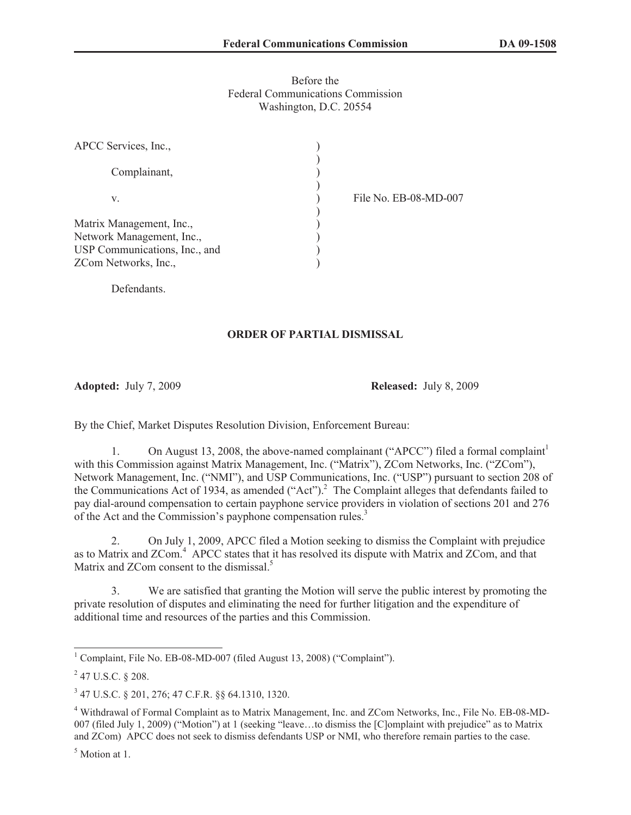## Before the Federal Communications Commission Washington, D.C. 20554

| Complainant,<br>File No. EB-08-MD-007 |  |
|---------------------------------------|--|
|                                       |  |
| V.                                    |  |
| Matrix Management, Inc.,              |  |
| Network Management, Inc.,             |  |
| USP Communications, Inc., and         |  |
| ZCom Networks, Inc.,                  |  |

**Defendants** 

## **ORDER OF PARTIAL DISMISSAL**

**Adopted:** July 7, 2009 **Released:** July 8, 2009

By the Chief, Market Disputes Resolution Division, Enforcement Bureau:

1. On August 13, 2008, the above-named complainant ("APCC") filed a formal complaint<sup>1</sup> with this Commission against Matrix Management, Inc. ("Matrix"), ZCom Networks, Inc. ("ZCom"), Network Management, Inc. ("NMI"), and USP Communications, Inc. ("USP") pursuant to section 208 of the Communications Act of 1934, as amended ("Act").<sup>2</sup> The Complaint alleges that defendants failed to pay dial-around compensation to certain payphone service providers in violation of sections 201 and 276 of the Act and the Commission's payphone compensation rules.<sup>3</sup>

2. On July 1, 2009, APCC filed a Motion seeking to dismiss the Complaint with prejudice as to Matrix and ZCom.<sup>4</sup> APCC states that it has resolved its dispute with Matrix and ZCom, and that Matrix and ZCom consent to the dismissal.<sup>5</sup>

3. We are satisfied that granting the Motion will serve the public interest by promoting the private resolution of disputes and eliminating the need for further litigation and the expenditure of additional time and resources of the parties and this Commission.

<sup>5</sup> Motion at 1.

<sup>&</sup>lt;sup>1</sup> Complaint, File No. EB-08-MD-007 (filed August 13, 2008) ("Complaint").

 $^{2}$  47 U.S.C. § 208.

<sup>3</sup> 47 U.S.C. § 201, 276; 47 C.F.R. §§ 64.1310, 1320.

<sup>4</sup> Withdrawal of Formal Complaint as to Matrix Management, Inc. and ZCom Networks, Inc., File No. EB-08-MD-007 (filed July 1, 2009) ("Motion") at 1 (seeking "leave…to dismiss the [C]omplaint with prejudice" as to Matrix and ZCom) APCC does not seek to dismiss defendants USP or NMI, who therefore remain parties to the case.